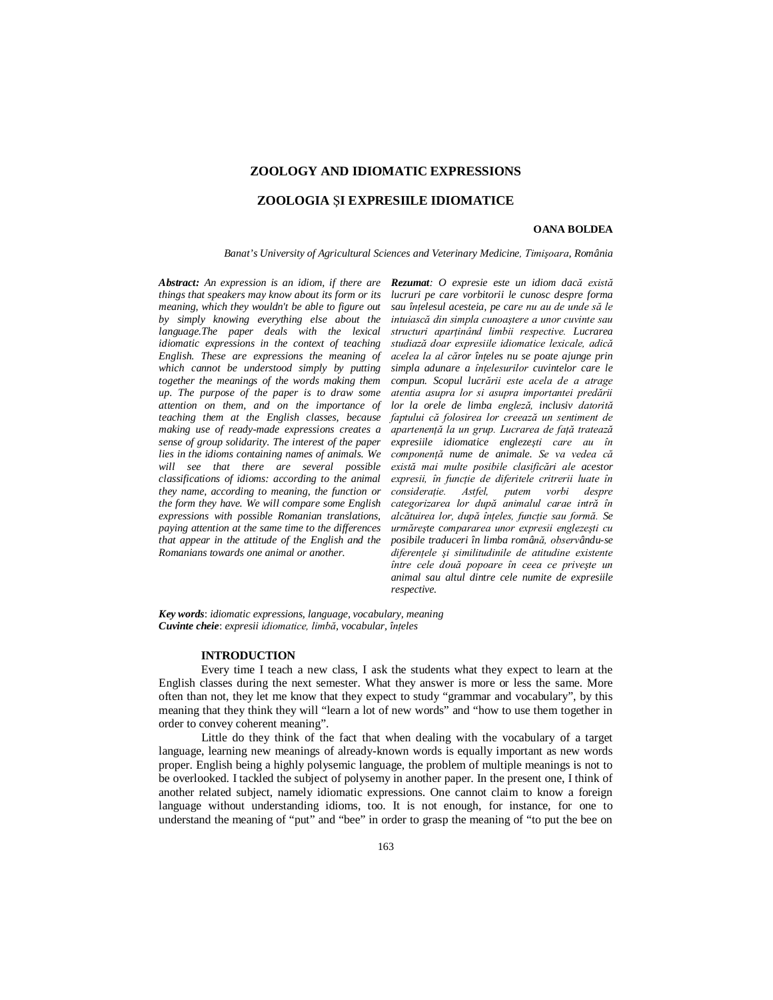# **ZOOLOGY AND IDIOMATIC EXPRESSIONS**

### **ZOOLOGIA** Ş**I EXPRESIILE IDIOMATICE**

### **OANA BOLDEA**

*Banat's University of Agricultural Sciences and Veterinary Medicine, Timişoara, România*

*Abstract: An expression is an idiom, if there are Rezumat: O expresie este un idiom dacă există things that speakers may know about its form or its meaning, which they wouldn't be able to figure out by simply knowing everything else about the language.The paper deals with the lexical idiomatic expressions in the context of teaching English. These are expressions the meaning of which cannot be understood simply by putting together the meanings of the words making them up. The purpose of the paper is to draw some attention on them, and on the importance of making use of ready-made expressions creates a sense of group solidarity. The interest of the paper lies in the idioms containing names of animals. We will see that there are several possible classifications of idioms: according to the animal they name, according to meaning, the function or the form they have. We will compare some English expressions with possible Romanian translations, paying attention at the same time to the differences that appear in the attitude of the English and the Romanians towards one animal or another.*

*teaching them at the English classes, because faptului că folosirea lor creează un sentiment de lucruri pe care vorbitorii le cunosc despre forma sau înţelesul acesteia, pe care nu au de unde să le intuiască din simpla cunoaştere a unor cuvinte sau structuri aparţinând limbii respective. Lucrarea studiază doar expresiile idiomatice lexicale, adică acelea la al căror înţeles nu se poate ajunge prin simpla adunare a înţelesurilor cuvintelor care le compun. Scopul lucrării este acela de a atrage atentia asupra lor si asupra importantei predării lor la orele de limba engleză, inclusiv datorită apartenenţă la un grup. Lucrarea de faţă tratează expresiile idiomatice englezeşti care au în componenţă nume de animale. Se va vedea că există mai multe posibile clasificări ale acestor expresii, în funcţie de diferitele critrerii luate în*   $consider a\ddot{\mu}$ *considerație. Astfel, putem vorbi categorizarea lor după animalul carae intră în alcătuirea lor, după înţeles, funcţie sau formă. Se urmăreşte compararea unor expresii englezeşti cu posibile traduceri în limba română, observându-se diferenţele şi similitudinile de atitudine existente între cele două popoare în ceea ce priveşte un animal sau altul dintre cele numite de expresiile respective.*

*Key words*: *idiomatic expressions, language, vocabulary, meaning Cuvinte cheie*: *expresii idiomatice, limbă, vocabular, înţeles*

#### **INTRODUCTION**

Every time I teach a new class, I ask the students what they expect to learn at the English classes during the next semester. What they answer is more or less the same. More often than not, they let me know that they expect to study "grammar and vocabulary", by this meaning that they think they will "learn a lot of new words" and "how to use them together in order to convey coherent meaning".

Little do they think of the fact that when dealing with the vocabulary of a target language, learning new meanings of already-known words is equally important as new words proper. English being a highly polysemic language, the problem of multiple meanings is not to be overlooked. I tackled the subject of polysemy in another paper. In the present one, I think of another related subject, namely idiomatic expressions. One cannot claim to know a foreign language without understanding idioms, too. It is not enough, for instance, for one to understand the meaning of "put" and "bee" in order to grasp the meaning of "to put the bee on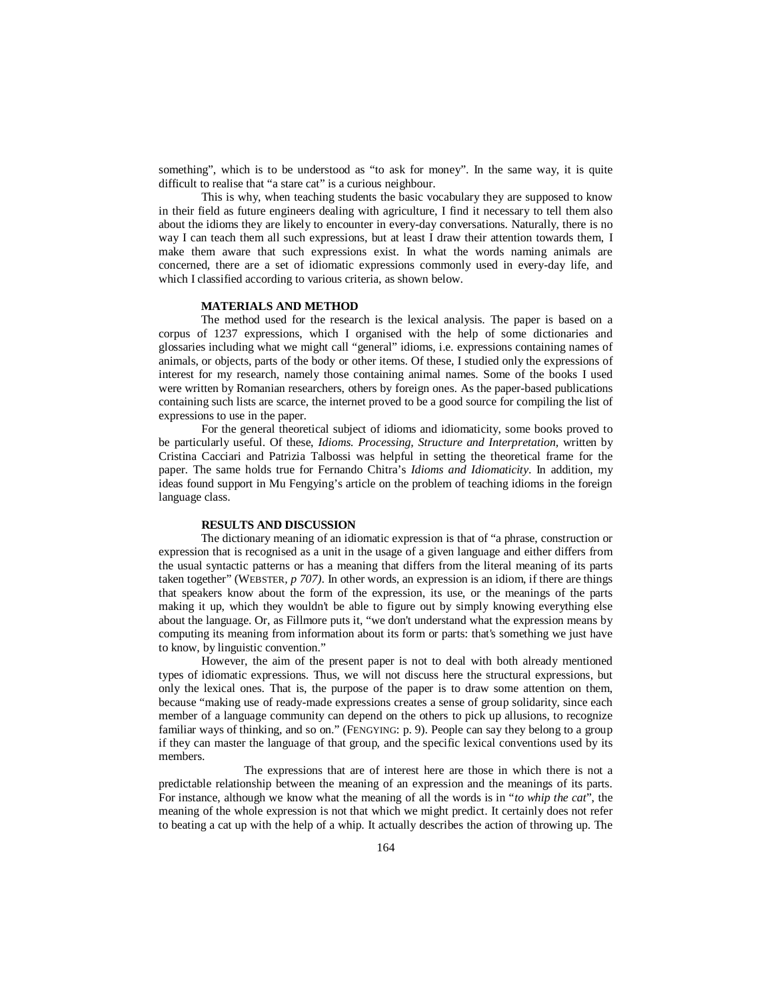something", which is to be understood as "to ask for money". In the same way, it is quite difficult to realise that "a stare cat" is a curious neighbour.

This is why, when teaching students the basic vocabulary they are supposed to know in their field as future engineers dealing with agriculture, I find it necessary to tell them also about the idioms they are likely to encounter in every-day conversations. Naturally, there is no way I can teach them all such expressions, but at least I draw their attention towards them, I make them aware that such expressions exist. In what the words naming animals are concerned, there are a set of idiomatic expressions commonly used in every-day life, and which I classified according to various criteria, as shown below.

#### **MATERIALS AND METHOD**

The method used for the research is the lexical analysis. The paper is based on a corpus of 1237 expressions, which I organised with the help of some dictionaries and glossaries including what we might call "general" idioms, i.e. expressions containing names of animals, or objects, parts of the body or other items. Of these, I studied only the expressions of interest for my research, namely those containing animal names. Some of the books I used were written by Romanian researchers, others by foreign ones. As the paper-based publications containing such lists are scarce, the internet proved to be a good source for compiling the list of expressions to use in the paper.

For the general theoretical subject of idioms and idiomaticity, some books proved to be particularly useful. Of these, *Idioms. Processing, Structure and Interpretation,* written by Cristina Cacciari and Patrizia Talbossi was helpful in setting the theoretical frame for the paper. The same holds true for Fernando Chitra's *Idioms and Idiomaticity*. In addition, my ideas found support in Mu Fengying's article on the problem of teaching idioms in the foreign language class.

### **RESULTS AND DISCUSSION**

The dictionary meaning of an idiomatic expression is that of "a phrase, construction or expression that is recognised as a unit in the usage of a given language and either differs from the usual syntactic patterns or has a meaning that differs from the literal meaning of its parts taken together" (WEBSTER*, p 707)*. In other words, an expression is an idiom, if there are things that speakers know about the form of the expression, its use, or the meanings of the parts making it up, which they wouldn't be able to figure out by simply knowing everything else about the language. Or, as Fillmore puts it, "we don't understand what the expression means by computing its meaning from information about its form or parts: that's something we just have to know, by linguistic convention."

However, the aim of the present paper is not to deal with both already mentioned types of idiomatic expressions. Thus, we will not discuss here the structural expressions, but only the lexical ones. That is, the purpose of the paper is to draw some attention on them, because "making use of ready-made expressions creates a sense of group solidarity, since each member of a language community can depend on the others to pick up allusions, to recognize familiar ways of thinking, and so on." (FENGYING: p. 9). People can say they belong to a group if they can master the language of that group, and the specific lexical conventions used by its members.

The expressions that are of interest here are those in which there is not a predictable relationship between the meaning of an expression and the meanings of its parts. For instance, although we know what the meaning of all the words is in "*to whip the cat*", the meaning of the whole expression is not that which we might predict. It certainly does not refer to beating a cat up with the help of a whip. It actually describes the action of throwing up. The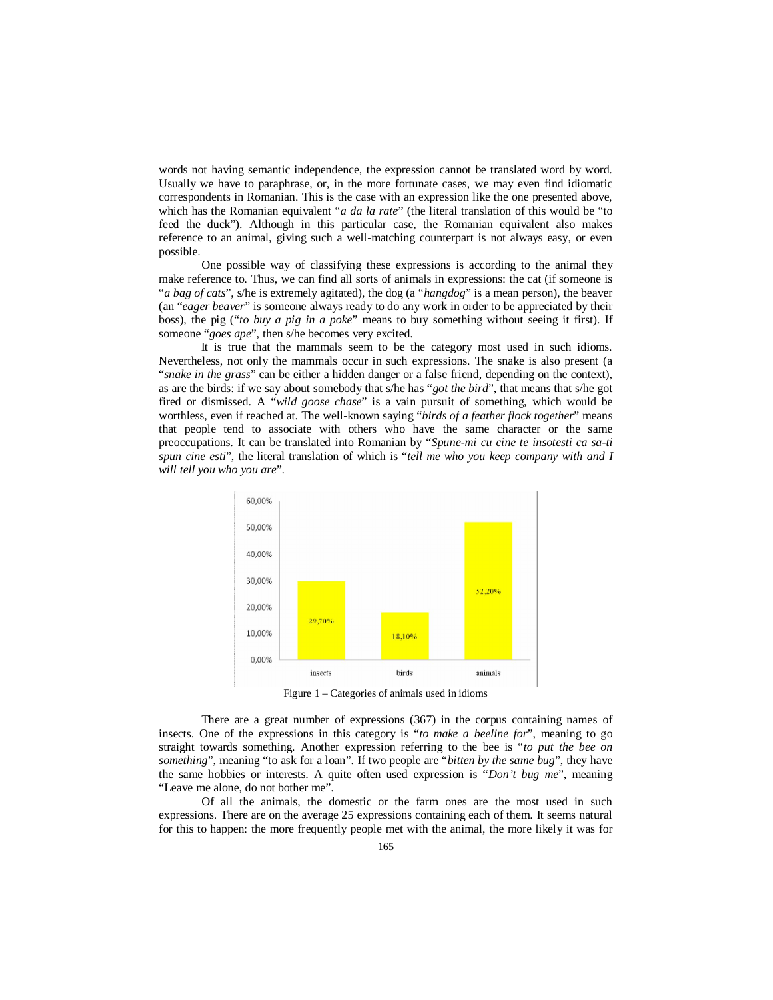words not having semantic independence, the expression cannot be translated word by word. Usually we have to paraphrase, or, in the more fortunate cases, we may even find idiomatic correspondents in Romanian. This is the case with an expression like the one presented above, which has the Romanian equivalent "*a da la rate*" (the literal translation of this would be "to feed the duck"). Although in this particular case, the Romanian equivalent also makes reference to an animal, giving such a well-matching counterpart is not always easy, or even possible.

One possible way of classifying these expressions is according to the animal they make reference to. Thus, we can find all sorts of animals in expressions: the cat (if someone is "*a bag of cats*", s/he is extremely agitated), the dog (a "*hangdog*" is a mean person), the beaver (an "*eager beaver*" is someone always ready to do any work in order to be appreciated by their boss), the pig ("*to buy a pig in a poke*" means to buy something without seeing it first). If someone "*goes ape*", then s/he becomes very excited.

It is true that the mammals seem to be the category most used in such idioms. Nevertheless, not only the mammals occur in such expressions. The snake is also present (a "*snake in the grass*" can be either a hidden danger or a false friend, depending on the context), as are the birds: if we say about somebody that s/he has "*got the bird*", that means that s/he got fired or dismissed. A "*wild goose chase*" is a vain pursuit of something, which would be worthless, even if reached at. The well-known saying "*birds of a feather flock together*" means that people tend to associate with others who have the same character or the same preoccupations. It can be translated into Romanian by "*Spune-mi cu cine te insotesti ca sa-ti spun cine esti*", the literal translation of which is "*tell me who you keep company with and I will tell you who you are*".



Figure 1 – Categories of animals used in idioms

There are a great number of expressions (367) in the corpus containing names of insects. One of the expressions in this category is "*to make a beeline for*", meaning to go straight towards something. Another expression referring to the bee is "*to put the bee on something*", meaning "to ask for a loan". If two people are "*bitten by the same bug*", they have the same hobbies or interests. A quite often used expression is "*Don't bug me*", meaning "Leave me alone, do not bother me".

Of all the animals, the domestic or the farm ones are the most used in such expressions. There are on the average 25 expressions containing each of them. It seems natural for this to happen: the more frequently people met with the animal, the more likely it was for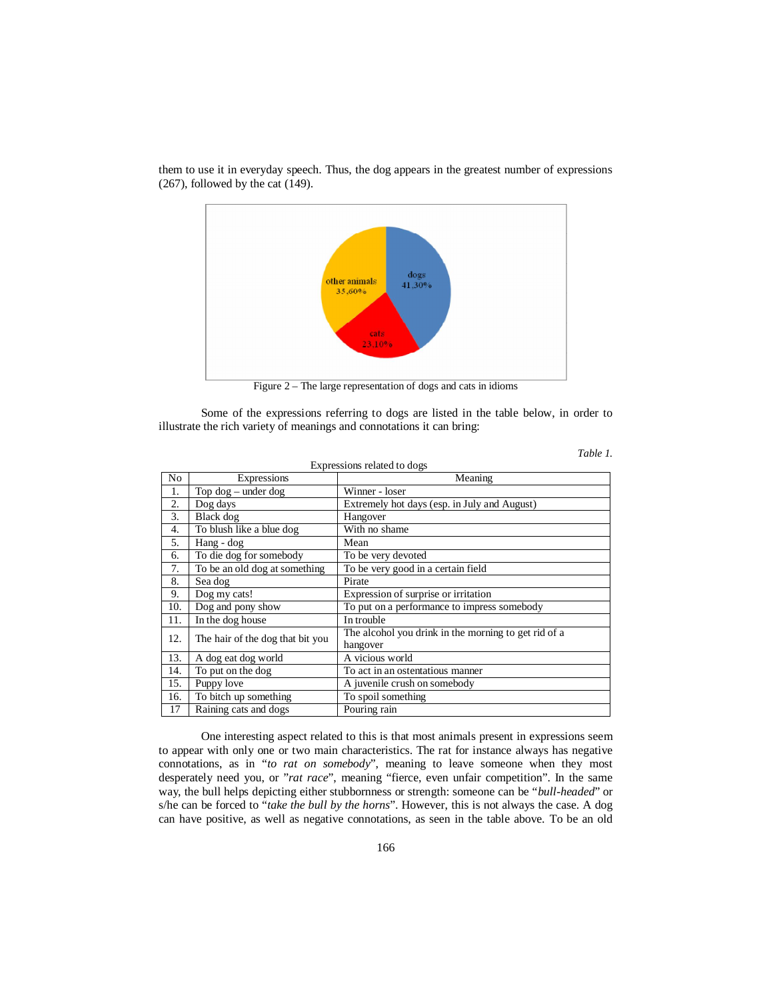

them to use it in everyday speech. Thus, the dog appears in the greatest number of expressions (267), followed by the cat (149).

Figure 2 – The large representation of dogs and cats in idioms

Some of the expressions referring to dogs are listed in the table below, in order to illustrate the rich variety of meanings and connotations it can bring:

| Expressions related to dogs |                                  |                                                      |
|-----------------------------|----------------------------------|------------------------------------------------------|
| N <sub>0</sub>              | Expressions                      | Meaning                                              |
| 1.                          | Top $dog$ – under $dog$          | Winner - loser                                       |
| 2.                          | Dog days                         | Extremely hot days (esp. in July and August)         |
| 3.                          | Black dog                        | Hangover                                             |
| 4.                          | To blush like a blue dog         | With no shame                                        |
| 5.                          | Hang - dog                       | Mean                                                 |
| 6.                          | To die dog for somebody          | To be very devoted                                   |
| 7.                          | To be an old dog at something    | To be very good in a certain field                   |
| 8.                          | Sea dog                          | Pirate                                               |
| 9.                          | Dog my cats!                     | Expression of surprise or irritation                 |
| 10.                         | Dog and pony show                | To put on a performance to impress somebody          |
| 11.                         | In the dog house                 | In trouble                                           |
| 12.                         | The hair of the dog that bit you | The alcohol you drink in the morning to get rid of a |
| 13.                         |                                  | hangover<br>A vicious world                          |
|                             | A dog eat dog world              |                                                      |
| 14.                         | To put on the dog                | To act in an ostentatious manner                     |
| 15.                         | Puppy love                       | A juvenile crush on somebody                         |
| 16.                         | To bitch up something            | To spoil something                                   |
| 17                          | Raining cats and dogs            | Pouring rain                                         |

*Table 1.*

One interesting aspect related to this is that most animals present in expressions seem to appear with only one or two main characteristics. The rat for instance always has negative connotations, as in "*to rat on somebody*", meaning to leave someone when they most desperately need you, or "*rat race*", meaning "fierce, even unfair competition". In the same way, the bull helps depicting either stubbornness or strength: someone can be "*bull-headed*" or s/he can be forced to "*take the bull by the horns*". However, this is not always the case. A dog can have positive, as well as negative connotations, as seen in the table above. To be an old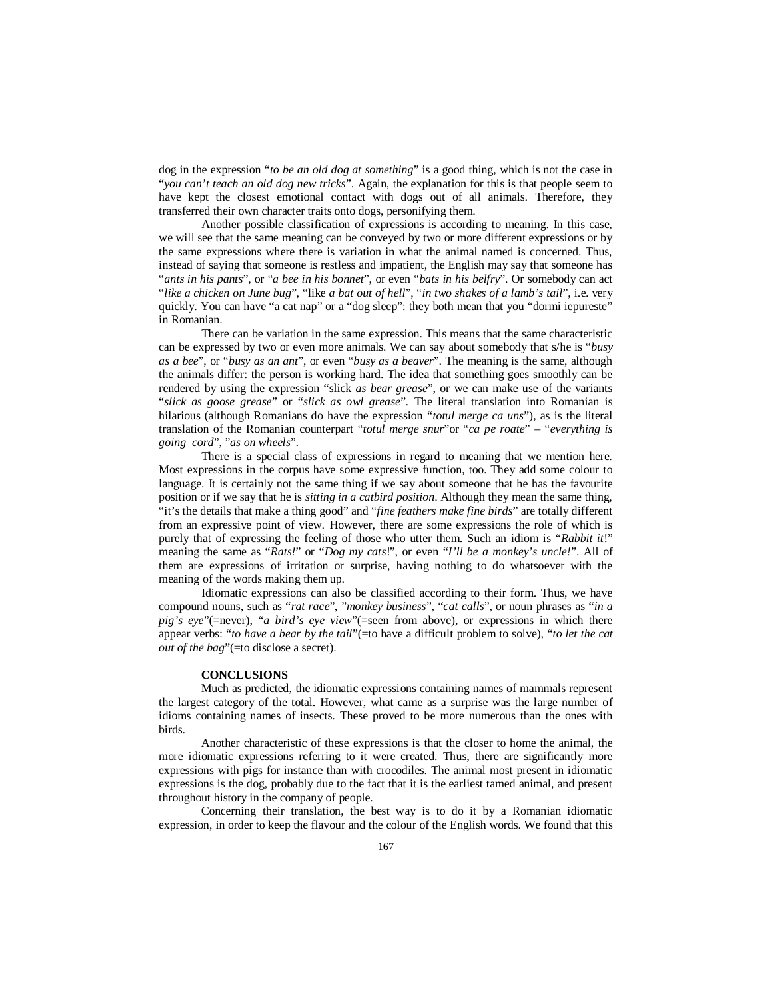dog in the expression "*to be an old dog at something*" is a good thing, which is not the case in "*you can't teach an old dog new tricks*". Again, the explanation for this is that people seem to have kept the closest emotional contact with dogs out of all animals. Therefore, they transferred their own character traits onto dogs, personifying them.

Another possible classification of expressions is according to meaning. In this case, we will see that the same meaning can be conveyed by two or more different expressions or by the same expressions where there is variation in what the animal named is concerned. Thus, instead of saying that someone is restless and impatient, the English may say that someone has "*ants in his pants*", or "*a bee in his bonnet*", or even "*bats in his belfry*". Or somebody can act "*like a chicken on June bug*", "like *a bat out of hell*", "*in two shakes of a lamb's tail*", i.e. very quickly. You can have "a cat nap" or a "dog sleep": they both mean that you "dormi iepureste" in Romanian.

There can be variation in the same expression. This means that the same characteristic can be expressed by two or even more animals. We can say about somebody that s/he is "*busy as a bee*", or "*busy as an ant*", or even "*busy as a beaver*". The meaning is the same, although the animals differ: the person is working hard. The idea that something goes smoothly can be rendered by using the expression "slick *as bear grease*", or we can make use of the variants "*slick as goose grease*" or "*slick as owl grease*". The literal translation into Romanian is hilarious (although Romanians do have the expression "*totul merge ca uns*"), as is the literal translation of the Romanian counterpart "*totul merge snur*"or "*ca pe roate*" – "*everything is going cord*", "*as on wheels*".

There is a special class of expressions in regard to meaning that we mention here. Most expressions in the corpus have some expressive function, too. They add some colour to language. It is certainly not the same thing if we say about someone that he has the favourite position or if we say that he is *sitting in a catbird position*. Although they mean the same thing, "it's the details that make a thing good" and "*fine feathers make fine birds*" are totally different from an expressive point of view. However, there are some expressions the role of which is purely that of expressing the feeling of those who utter them. Such an idiom is "*Rabbit it*!" meaning the same as "*Rats!*" or "*Dog my cats*!", or even "*I'll be a monkey's uncle!*". All of them are expressions of irritation or surprise, having nothing to do whatsoever with the meaning of the words making them up.

Idiomatic expressions can also be classified according to their form. Thus, we have compound nouns, such as "*rat race*", "*monkey business*", "*cat calls*", or noun phrases as "*in a pig's eye*"(=never), "*a bird's eye view*"(=seen from above), or expressions in which there appear verbs: "*to have a bear by the tail*"(=to have a difficult problem to solve), "*to let the cat out of the bag*"(=to disclose a secret).

# **CONCLUSIONS**

Much as predicted, the idiomatic expressions containing names of mammals represent the largest category of the total. However, what came as a surprise was the large number of idioms containing names of insects. These proved to be more numerous than the ones with birds.

Another characteristic of these expressions is that the closer to home the animal, the more idiomatic expressions referring to it were created. Thus, there are significantly more expressions with pigs for instance than with crocodiles. The animal most present in idiomatic expressions is the dog, probably due to the fact that it is the earliest tamed animal, and present throughout history in the company of people.

Concerning their translation, the best way is to do it by a Romanian idiomatic expression, in order to keep the flavour and the colour of the English words. We found that this